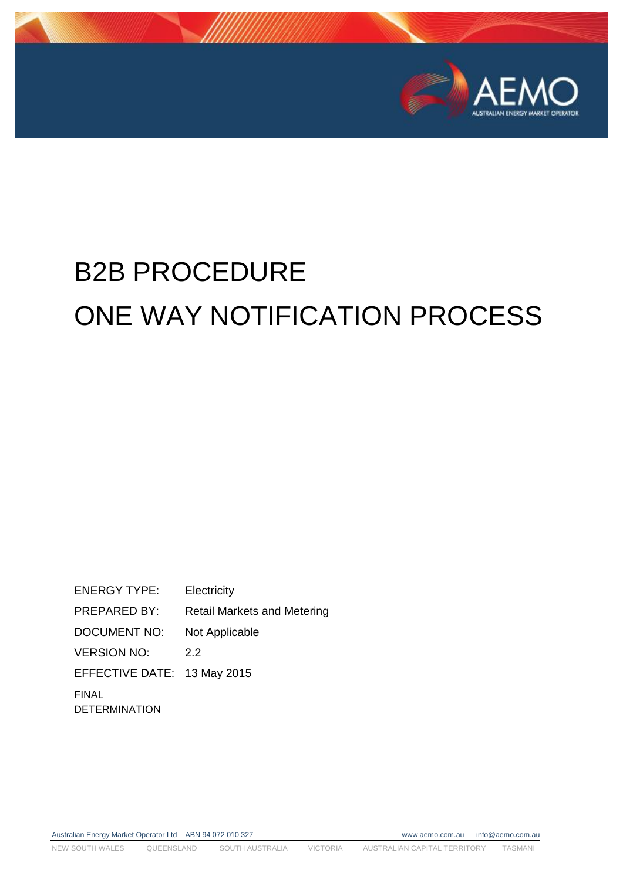

# B2B PROCEDURE ONE WAY NOTIFICATION PROCESS

ENERGY TYPE: Electricity PREPARED BY: Retail Markets and Metering DOCUMENT NO: Not Applicable VERSION NO: 2.2 EFFECTIVE DATE: 13 May 2015 FINAL DETERMINATION

Australian Energy Market Operator Ltd ABN 94 072 010 327 www aemo.com.au info@aemo.com.au

NEW SOUTH WALES QUEENSLAND SOUTH AUSTRALIA VICTORIA AUSTRALIAN CAPITAL TERRITORY TASMANI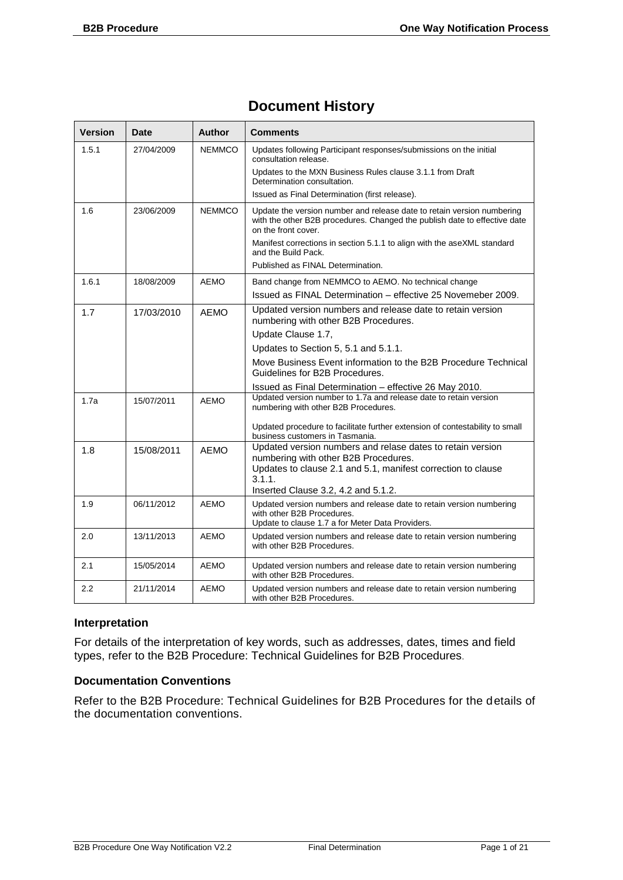#### **Document History**

| <b>Version</b> | <b>Date</b> | Author        | <b>Comments</b>                                                                                                                                                                                                                                                                                                   |
|----------------|-------------|---------------|-------------------------------------------------------------------------------------------------------------------------------------------------------------------------------------------------------------------------------------------------------------------------------------------------------------------|
| 1.5.1          | 27/04/2009  | <b>NEMMCO</b> | Updates following Participant responses/submissions on the initial<br>consultation release.<br>Updates to the MXN Business Rules clause 3.1.1 from Draft<br>Determination consultation.                                                                                                                           |
|                |             |               | Issued as Final Determination (first release).                                                                                                                                                                                                                                                                    |
| 1.6            | 23/06/2009  | <b>NEMMCO</b> | Update the version number and release date to retain version numbering<br>with the other B2B procedures. Changed the publish date to effective date<br>on the front cover.<br>Manifest corrections in section 5.1.1 to align with the aseXML standard<br>and the Build Pack.<br>Published as FINAL Determination. |
| 1.6.1          | 18/08/2009  | <b>AEMO</b>   | Band change from NEMMCO to AEMO. No technical change                                                                                                                                                                                                                                                              |
|                |             |               | Issued as FINAL Determination - effective 25 Novemeber 2009.                                                                                                                                                                                                                                                      |
| 1.7            | 17/03/2010  | <b>AEMO</b>   | Updated version numbers and release date to retain version<br>numbering with other B2B Procedures.                                                                                                                                                                                                                |
|                |             |               | Update Clause 1.7,                                                                                                                                                                                                                                                                                                |
|                |             |               | Updates to Section 5, 5.1 and 5.1.1.                                                                                                                                                                                                                                                                              |
|                |             |               | Move Business Event information to the B2B Procedure Technical<br>Guidelines for B2B Procedures.                                                                                                                                                                                                                  |
|                |             |               | Issued as Final Determination - effective 26 May 2010.                                                                                                                                                                                                                                                            |
| 1.7a           | 15/07/2011  | <b>AEMO</b>   | Updated version number to 1.7a and release date to retain version<br>numbering with other B2B Procedures.                                                                                                                                                                                                         |
|                |             |               | Updated procedure to facilitate further extension of contestability to small<br>business customers in Tasmania.                                                                                                                                                                                                   |
| 1.8            | 15/08/2011  | <b>AEMO</b>   | Updated version numbers and relase dates to retain version<br>numbering with other B2B Procedures.<br>Updates to clause 2.1 and 5.1, manifest correction to clause                                                                                                                                                |
|                |             |               | 3.1.1.<br>Inserted Clause 3.2, 4.2 and 5.1.2.                                                                                                                                                                                                                                                                     |
| 1.9            | 06/11/2012  | <b>AEMO</b>   | Updated version numbers and release date to retain version numbering<br>with other B2B Procedures.<br>Update to clause 1.7 a for Meter Data Providers.                                                                                                                                                            |
| 2.0            | 13/11/2013  | <b>AEMO</b>   | Updated version numbers and release date to retain version numbering<br>with other B2B Procedures.                                                                                                                                                                                                                |
| 2.1            | 15/05/2014  | <b>AEMO</b>   | Updated version numbers and release date to retain version numbering<br>with other B2B Procedures.                                                                                                                                                                                                                |
| 2.2            | 21/11/2014  | <b>AEMO</b>   | Updated version numbers and release date to retain version numbering<br>with other B2B Procedures.                                                                                                                                                                                                                |

#### **Interpretation**

For details of the interpretation of key words, such as addresses, dates, times and field types, refer to the B2B Procedure: Technical Guidelines for B2B Procedures.

#### **Documentation Conventions**

Refer to the B2B Procedure: Technical Guidelines for B2B Procedures for the details of the documentation conventions.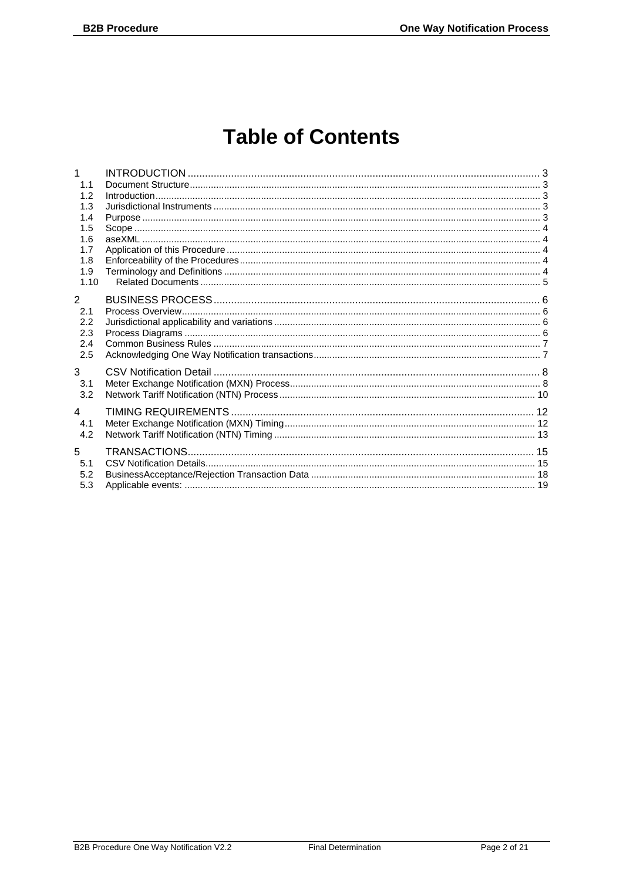## **Table of Contents**

| 1              |  |
|----------------|--|
| 1.1            |  |
| 1.2            |  |
| 1.3            |  |
| 1.4            |  |
| 1.5            |  |
| 1.6            |  |
| 1.7            |  |
| 1.8            |  |
| 1.9            |  |
| 1.10           |  |
| $\overline{2}$ |  |
|                |  |
| 2.1            |  |
| 2.2            |  |
| 2.3            |  |
| 2.4            |  |
| 2.5            |  |
| 3              |  |
| 3.1            |  |
| 3.2            |  |
|                |  |
| 4              |  |
| 4.1            |  |
| 4.2            |  |
|                |  |
| 5              |  |
| 5.1            |  |
| 5.2            |  |
| 5.3            |  |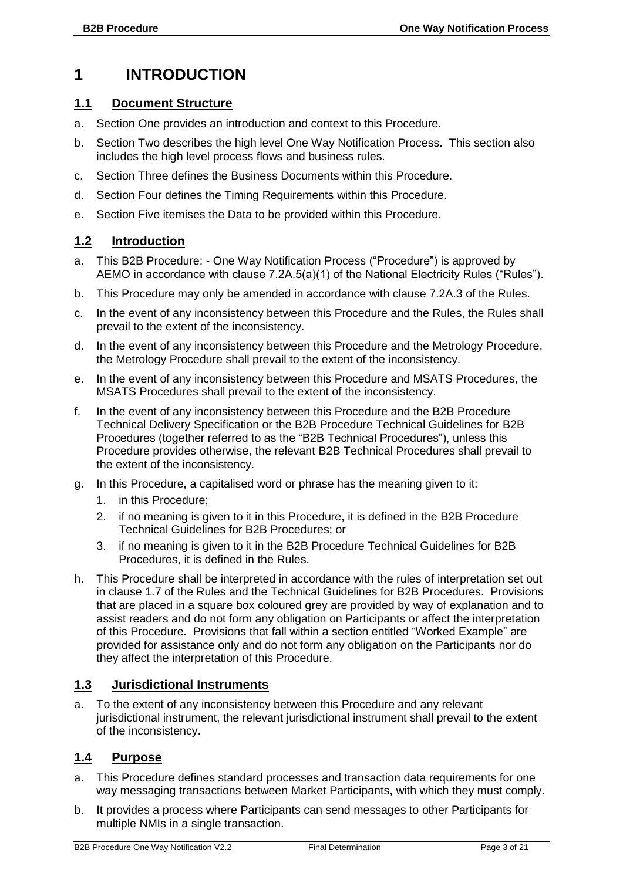#### <span id="page-3-0"></span>**1 INTRODUCTION**

#### <span id="page-3-1"></span>**1.1 Document Structure**

- a. Section One provides an introduction and context to this Procedure.
- b. Section Two describes the high level One Way Notification Process. This section also includes the high level process flows and business rules.
- c. Section Three defines the Business Documents within this Procedure.
- d. Section Four defines the Timing Requirements within this Procedure.
- e. Section Five itemises the Data to be provided within this Procedure.

#### <span id="page-3-2"></span>**1.2 Introduction**

- a. This B2B Procedure: One Way Notification Process ("Procedure") is approved by AEMO in accordance with clause 7.2A.5(a)(1) of the National Electricity Rules ("Rules").
- b. This Procedure may only be amended in accordance with clause 7.2A.3 of the Rules.
- c. In the event of any inconsistency between this Procedure and the Rules, the Rules shall prevail to the extent of the inconsistency.
- d. In the event of any inconsistency between this Procedure and the Metrology Procedure, the Metrology Procedure shall prevail to the extent of the inconsistency.
- e. In the event of any inconsistency between this Procedure and MSATS Procedures, the MSATS Procedures shall prevail to the extent of the inconsistency.
- f. In the event of any inconsistency between this Procedure and the B2B Procedure Technical Delivery Specification or the B2B Procedure Technical Guidelines for B2B Procedures (together referred to as the "B2B Technical Procedures"), unless this Procedure provides otherwise, the relevant B2B Technical Procedures shall prevail to the extent of the inconsistency.
- g. In this Procedure, a capitalised word or phrase has the meaning given to it:
	- 1. in this Procedure;
	- 2. if no meaning is given to it in this Procedure, it is defined in the B2B Procedure Technical Guidelines for B2B Procedures; or
	- 3. if no meaning is given to it in the B2B Procedure Technical Guidelines for B2B Procedures, it is defined in the Rules.
- h. This Procedure shall be interpreted in accordance with the rules of interpretation set out in clause 1.7 of the Rules and the Technical Guidelines for B2B Procedures. Provisions that are placed in a square box coloured grey are provided by way of explanation and to assist readers and do not form any obligation on Participants or affect the interpretation of this Procedure. Provisions that fall within a section entitled "Worked Example" are provided for assistance only and do not form any obligation on the Participants nor do they affect the interpretation of this Procedure.

#### <span id="page-3-3"></span>**1.3 Jurisdictional Instruments**

a. To the extent of any inconsistency between this Procedure and any relevant jurisdictional instrument, the relevant jurisdictional instrument shall prevail to the extent of the inconsistency.

#### <span id="page-3-4"></span>**1.4 Purpose**

- a. This Procedure defines standard processes and transaction data requirements for one way messaging transactions between Market Participants, with which they must comply.
- b. It provides a process where Participants can send messages to other Participants for multiple NMIs in a single transaction.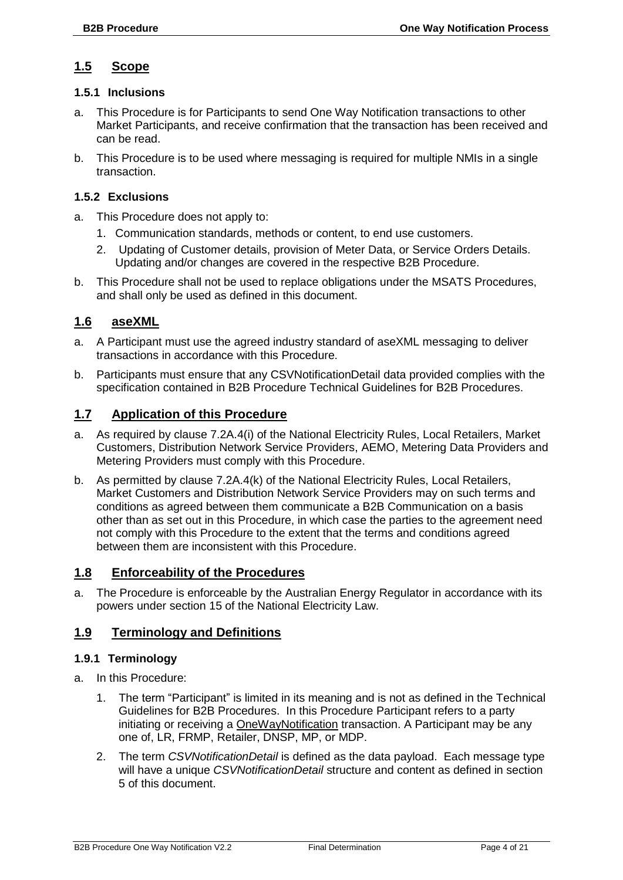#### <span id="page-4-0"></span>**1.5 Scope**

#### **1.5.1 Inclusions**

- a. This Procedure is for Participants to send One Way Notification transactions to other Market Participants, and receive confirmation that the transaction has been received and can be read.
- b. This Procedure is to be used where messaging is required for multiple NMIs in a single transaction.

#### **1.5.2 Exclusions**

- a. This Procedure does not apply to:
	- 1. Communication standards, methods or content, to end use customers.
	- 2. Updating of Customer details, provision of Meter Data, or Service Orders Details. Updating and/or changes are covered in the respective B2B Procedure.
- b. This Procedure shall not be used to replace obligations under the MSATS Procedures, and shall only be used as defined in this document.

#### <span id="page-4-1"></span>**1.6 aseXML**

- a. A Participant must use the agreed industry standard of aseXML messaging to deliver transactions in accordance with this Procedure.
- b. Participants must ensure that any CSVNotificationDetail data provided complies with the specification contained in B2B Procedure Technical Guidelines for B2B Procedures.

#### <span id="page-4-2"></span>**1.7 Application of this Procedure**

- a. As required by clause 7.2A.4(i) of the National Electricity Rules, Local Retailers, Market Customers, Distribution Network Service Providers, AEMO, Metering Data Providers and Metering Providers must comply with this Procedure.
- b. As permitted by clause 7.2A.4(k) of the National Electricity Rules, Local Retailers, Market Customers and Distribution Network Service Providers may on such terms and conditions as agreed between them communicate a B2B Communication on a basis other than as set out in this Procedure, in which case the parties to the agreement need not comply with this Procedure to the extent that the terms and conditions agreed between them are inconsistent with this Procedure.

#### <span id="page-4-3"></span>**1.8 Enforceability of the Procedures**

a. The Procedure is enforceable by the Australian Energy Regulator in accordance with its powers under section 15 of the National Electricity Law.

#### <span id="page-4-4"></span>**1.9 Terminology and Definitions**

#### **1.9.1 Terminology**

- a. In this Procedure:
	- 1. The term "Participant" is limited in its meaning and is not as defined in the Technical Guidelines for B2B Procedures. In this Procedure Participant refers to a party initiating or receiving a OneWayNotification transaction. A Participant may be any one of, LR, FRMP, Retailer, DNSP, MP, or MDP.
	- 2. The term *CSVNotificationDetail* is defined as the data payload. Each message type will have a unique *CSVNotificationDetail* structure and content as defined in section 5 of this document.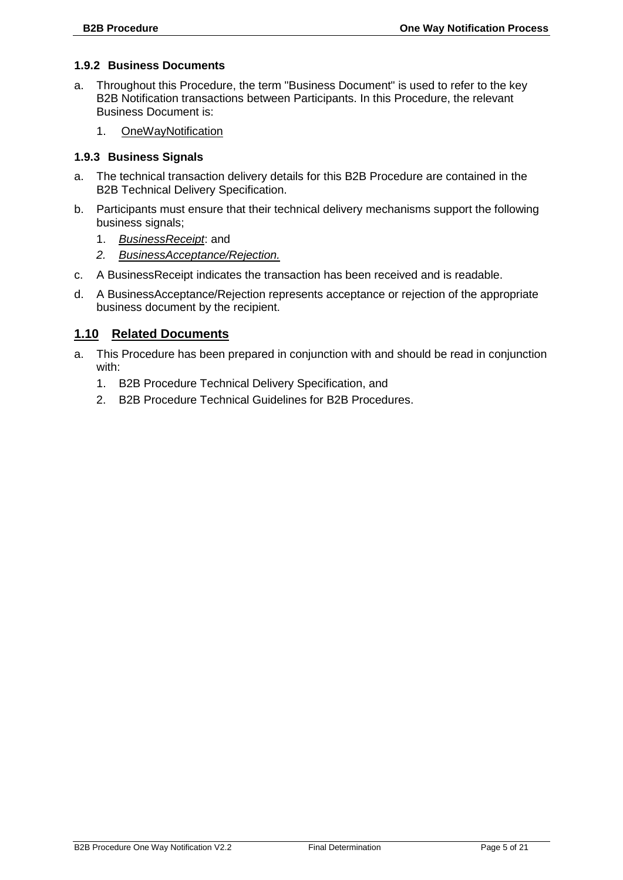#### **1.9.2 Business Documents**

- a. Throughout this Procedure, the term "Business Document" is used to refer to the key B2B Notification transactions between Participants. In this Procedure, the relevant Business Document is:
	- 1. OneWayNotification

#### **1.9.3 Business Signals**

- a. The technical transaction delivery details for this B2B Procedure are contained in the B2B Technical Delivery Specification.
- b. Participants must ensure that their technical delivery mechanisms support the following business signals;
	- 1. *BusinessReceipt*: and
	- *2. BusinessAcceptance/Rejection.*
- c. A BusinessReceipt indicates the transaction has been received and is readable.
- d. A BusinessAcceptance/Rejection represents acceptance or rejection of the appropriate business document by the recipient.

#### <span id="page-5-0"></span>**1.10 Related Documents**

- a. This Procedure has been prepared in conjunction with and should be read in conjunction with:
	- 1. B2B Procedure Technical Delivery Specification, and
	- 2. B2B Procedure Technical Guidelines for B2B Procedures.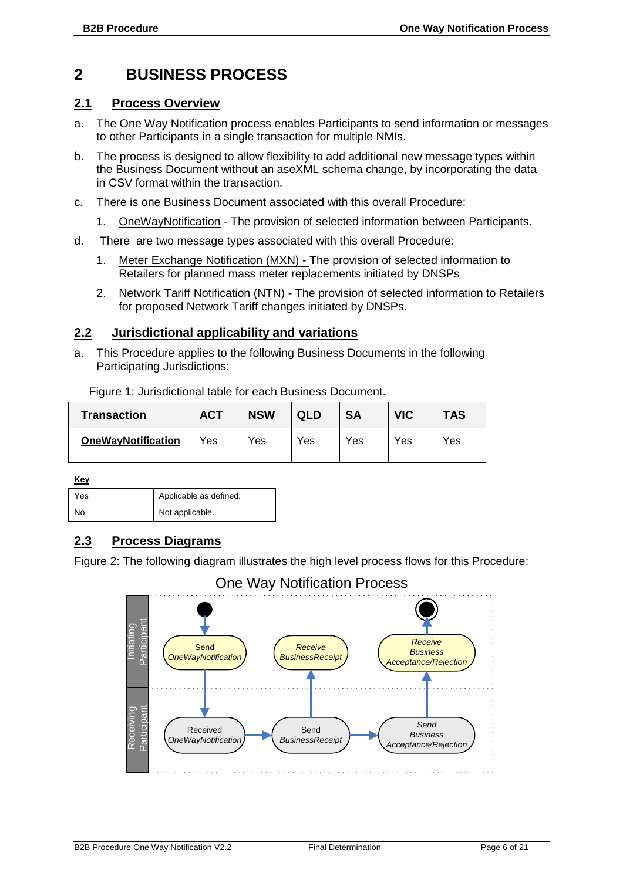#### <span id="page-6-0"></span>**2 BUSINESS PROCESS**

#### <span id="page-6-1"></span>**2.1 Process Overview**

- a. The One Way Notification process enables Participants to send information or messages to other Participants in a single transaction for multiple NMIs.
- b. The process is designed to allow flexibility to add additional new message types within the Business Document without an aseXML schema change, by incorporating the data in CSV format within the transaction.
- c. There is one Business Document associated with this overall Procedure:
	- 1. OneWayNotification The provision of selected information between Participants.
- d. There are two message types associated with this overall Procedure:
	- 1. Meter Exchange Notification (MXN) The provision of selected information to Retailers for planned mass meter replacements initiated by DNSPs
	- 2. Network Tariff Notification (NTN) The provision of selected information to Retailers for proposed Network Tariff changes initiated by DNSPs.

#### <span id="page-6-2"></span>**2.2 Jurisdictional applicability and variations**

Figure 1: Jurisdictional table for each Business Document.

a. This Procedure applies to the following Business Documents in the following Participating Jurisdictions:

| <b>Transaction</b>        | <b>ACT</b> | <b>NSW</b> | QLD | <b>SA</b> | <b>VIC</b> | <b>TAS</b> |
|---------------------------|------------|------------|-----|-----------|------------|------------|
| <b>OneWayNotification</b> | Yes        | Yes        | Yes | Yes       | Yes        | Yes        |

**Key**

| $\sim$ |                        |
|--------|------------------------|
| Yes    | Applicable as defined. |
| No     | Not applicable.        |

#### <span id="page-6-3"></span>**2.3 Process Diagrams**

Figure 2: The following diagram illustrates the high level process flows for this Procedure:

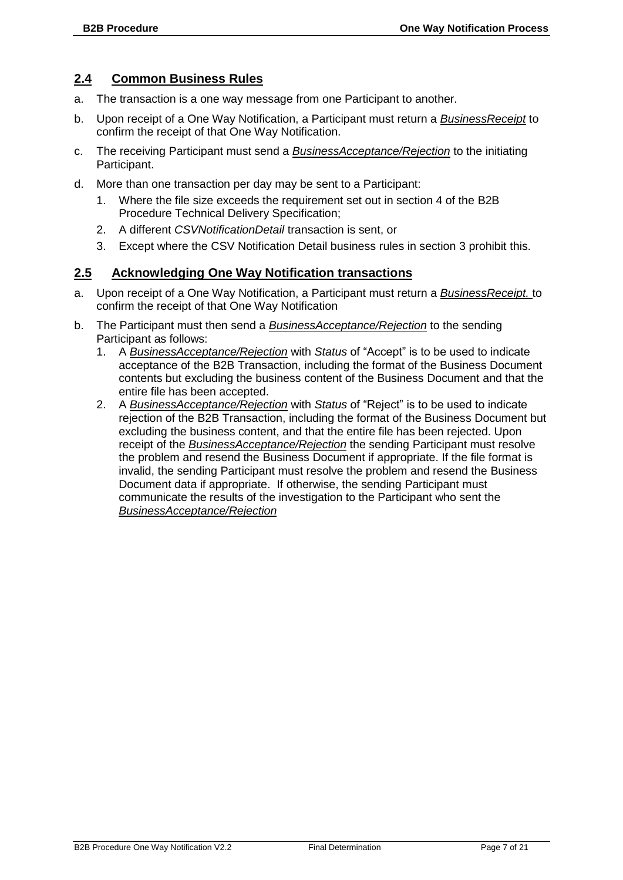#### <span id="page-7-0"></span>**2.4 Common Business Rules**

- a. The transaction is a one way message from one Participant to another.
- b. Upon receipt of a One Way Notification, a Participant must return a *BusinessReceipt* to confirm the receipt of that One Way Notification.
- c. The receiving Participant must send a *BusinessAcceptance/Rejection* to the initiating Participant.
- d. More than one transaction per day may be sent to a Participant:
	- 1. Where the file size exceeds the requirement set out in section 4 of the B2B Procedure Technical Delivery Specification;
	- 2. A different *CSVNotificationDetail* transaction is sent, or
	- 3. Except where the CSV Notification Detail business rules in section 3 prohibit this.

#### <span id="page-7-1"></span>**2.5 Acknowledging One Way Notification transactions**

- a. Upon receipt of a One Way Notification, a Participant must return a *BusinessReceipt.* to confirm the receipt of that One Way Notification
- b. The Participant must then send a *BusinessAcceptance/Rejection* to the sending Participant as follows:
	- 1. A *BusinessAcceptance/Rejection* with *Status* of "Accept" is to be used to indicate acceptance of the B2B Transaction, including the format of the Business Document contents but excluding the business content of the Business Document and that the entire file has been accepted.
	- 2. A *BusinessAcceptance/Rejection* with *Status* of "Reject" is to be used to indicate rejection of the B2B Transaction, including the format of the Business Document but excluding the business content, and that the entire file has been rejected. Upon receipt of the *BusinessAcceptance/Rejection* the sending Participant must resolve the problem and resend the Business Document if appropriate. If the file format is invalid, the sending Participant must resolve the problem and resend the Business Document data if appropriate. If otherwise, the sending Participant must communicate the results of the investigation to the Participant who sent the *BusinessAcceptance/Rejection*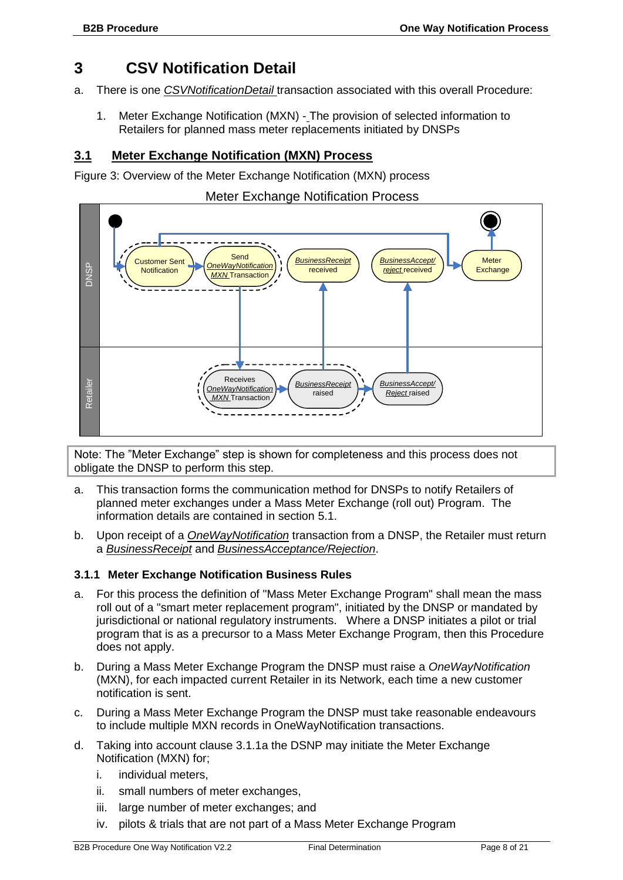#### <span id="page-8-0"></span>**3 CSV Notification Detail**

- a. There is one *CSVNotificationDetail* transaction associated with this overall Procedure:
	- 1. Meter Exchange Notification (MXN) The provision of selected information to Retailers for planned mass meter replacements initiated by DNSPs

#### <span id="page-8-1"></span>**3.1 Meter Exchange Notification (MXN) Process**

Figure 3: Overview of the Meter Exchange Notification (MXN) process

#### Meter Exchange Notification Process



Note: The "Meter Exchange" step is shown for completeness and this process does not obligate the DNSP to perform this step.

- a. This transaction forms the communication method for DNSPs to notify Retailers of planned meter exchanges under a Mass Meter Exchange (roll out) Program. The information details are contained in section [5.1.](#page-15-1)
- b. Upon receipt of a *OneWayNotification* transaction from a DNSP, the Retailer must return a *BusinessReceipt* and *BusinessAcceptance/Rejection*.

#### **3.1.1 Meter Exchange Notification Business Rules**

- a. For this process the definition of "Mass Meter Exchange Program" shall mean the mass roll out of a "smart meter replacement program", initiated by the DNSP or mandated by jurisdictional or national regulatory instruments. Where a DNSP initiates a pilot or trial program that is as a precursor to a Mass Meter Exchange Program, then this Procedure does not apply.
- b. During a Mass Meter Exchange Program the DNSP must raise a *OneWayNotification* (MXN), for each impacted current Retailer in its Network, each time a new customer notification is sent.
- c. During a Mass Meter Exchange Program the DNSP must take reasonable endeavours to include multiple MXN records in OneWayNotification transactions.
- d. Taking into account clause 3.1.1a the DSNP may initiate the Meter Exchange Notification (MXN) for;
	- i. individual meters,
	- ii. small numbers of meter exchanges,
	- iii. large number of meter exchanges; and
	- iv. pilots & trials that are not part of a Mass Meter Exchange Program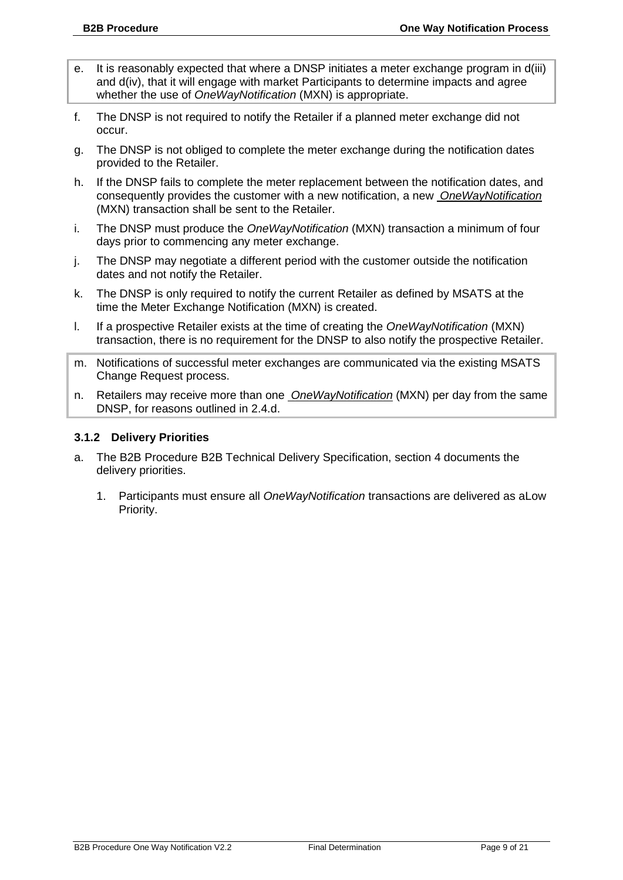- e. It is reasonably expected that where a DNSP initiates a meter exchange program in d(iii) and d(iv), that it will engage with market Participants to determine impacts and agree whether the use of *OneWayNotification* (MXN) is appropriate.
- f. The DNSP is not required to notify the Retailer if a planned meter exchange did not occur.
- g. The DNSP is not obliged to complete the meter exchange during the notification dates provided to the Retailer.
- h. If the DNSP fails to complete the meter replacement between the notification dates, and consequently provides the customer with a new notification, a new *OneWayNotification* (MXN) transaction shall be sent to the Retailer.
- i. The DNSP must produce the *OneWayNotification* (MXN) transaction a minimum of four days prior to commencing any meter exchange.
- j. The DNSP may negotiate a different period with the customer outside the notification dates and not notify the Retailer.
- k. The DNSP is only required to notify the current Retailer as defined by MSATS at the time the Meter Exchange Notification (MXN) is created.
- l. If a prospective Retailer exists at the time of creating the *OneWayNotification* (MXN) transaction, there is no requirement for the DNSP to also notify the prospective Retailer.
- m. Notifications of successful meter exchanges are communicated via the existing MSATS Change Request process.
- n. Retailers may receive more than one *OneWayNotification* (MXN) per day from the same DNSP, for reasons outlined in 2.4.d.

#### **3.1.2 Delivery Priorities**

- a. The B2B Procedure B2B Technical Delivery Specification, section 4 documents the delivery priorities.
	- 1. Participants must ensure all *OneWayNotification* transactions are delivered as aLow Priority.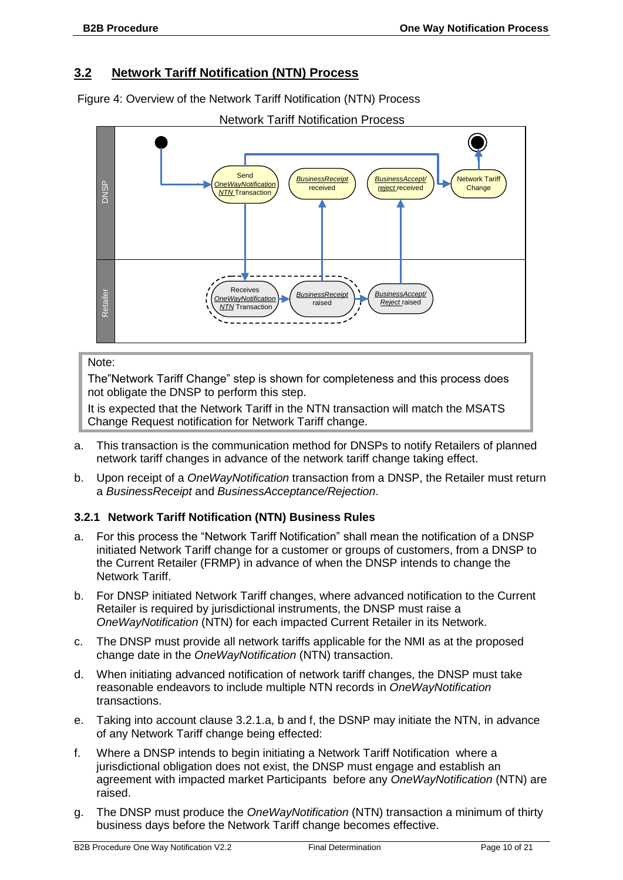#### <span id="page-10-0"></span>**3.2 Network Tariff Notification (NTN) Process**

Figure 4: Overview of the Network Tariff Notification (NTN) Process



#### Note:

The"Network Tariff Change" step is shown for completeness and this process does not obligate the DNSP to perform this step.

It is expected that the Network Tariff in the NTN transaction will match the MSATS Change Request notification for Network Tariff change.

- a. This transaction is the communication method for DNSPs to notify Retailers of planned network tariff changes in advance of the network tariff change taking effect.
- b. Upon receipt of a *OneWayNotification* transaction from a DNSP, the Retailer must return a *BusinessReceipt* and *BusinessAcceptance/Rejection*.

#### **3.2.1 Network Tariff Notification (NTN) Business Rules**

- a. For this process the "Network Tariff Notification" shall mean the notification of a DNSP initiated Network Tariff change for a customer or groups of customers, from a DNSP to the Current Retailer (FRMP) in advance of when the DNSP intends to change the Network Tariff.
- b. For DNSP initiated Network Tariff changes, where advanced notification to the Current Retailer is required by jurisdictional instruments, the DNSP must raise a *OneWayNotification* (NTN) for each impacted Current Retailer in its Network.
- c. The DNSP must provide all network tariffs applicable for the NMI as at the proposed change date in the *OneWayNotification* (NTN) transaction.
- d. When initiating advanced notification of network tariff changes, the DNSP must take reasonable endeavors to include multiple NTN records in *OneWayNotification* transactions.
- e. Taking into account clause 3.2.1.a, b and f, the DSNP may initiate the NTN, in advance of any Network Tariff change being effected:
- f. Where a DNSP intends to begin initiating a Network Tariff Notification where a jurisdictional obligation does not exist, the DNSP must engage and establish an agreement with impacted market Participants before any *OneWayNotification* (NTN) are raised.
- g. The DNSP must produce the *OneWayNotification* (NTN) transaction a minimum of thirty business days before the Network Tariff change becomes effective.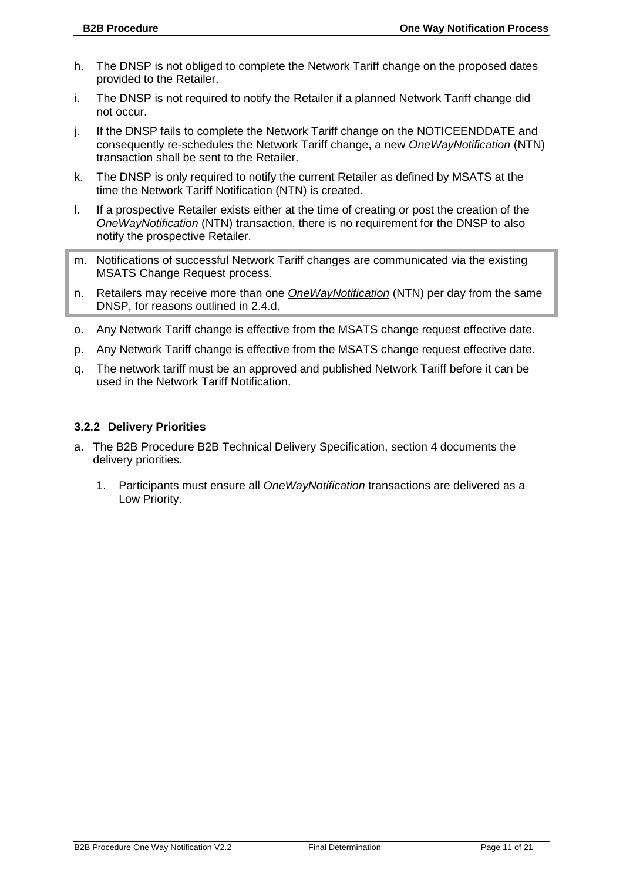- h. The DNSP is not obliged to complete the Network Tariff change on the proposed dates provided to the Retailer.
- i. The DNSP is not required to notify the Retailer if a planned Network Tariff change did not occur.
- j. If the DNSP fails to complete the Network Tariff change on the NOTICEENDDATE and consequently re-schedules the Network Tariff change, a new *OneWayNotification* (NTN) transaction shall be sent to the Retailer.
- k. The DNSP is only required to notify the current Retailer as defined by MSATS at the time the Network Tariff Notification (NTN) is created.
- l. If a prospective Retailer exists either at the time of creating or post the creation of the *OneWayNotification* (NTN) transaction, there is no requirement for the DNSP to also notify the prospective Retailer.
- m. Notifications of successful Network Tariff changes are communicated via the existing MSATS Change Request process.
- n. Retailers may receive more than one *OneWayNotification* (NTN) per day from the same DNSP, for reasons outlined in 2.4.d.
- o. Any Network Tariff change is effective from the MSATS change request effective date.
- p. Any Network Tariff change is effective from the MSATS change request effective date.
- q. The network tariff must be an approved and published Network Tariff before it can be used in the Network Tariff Notification.

#### **3.2.2 Delivery Priorities**

- a. The B2B Procedure B2B Technical Delivery Specification, section 4 documents the delivery priorities.
	- 1. Participants must ensure all *OneWayNotification* transactions are delivered as a Low Priority.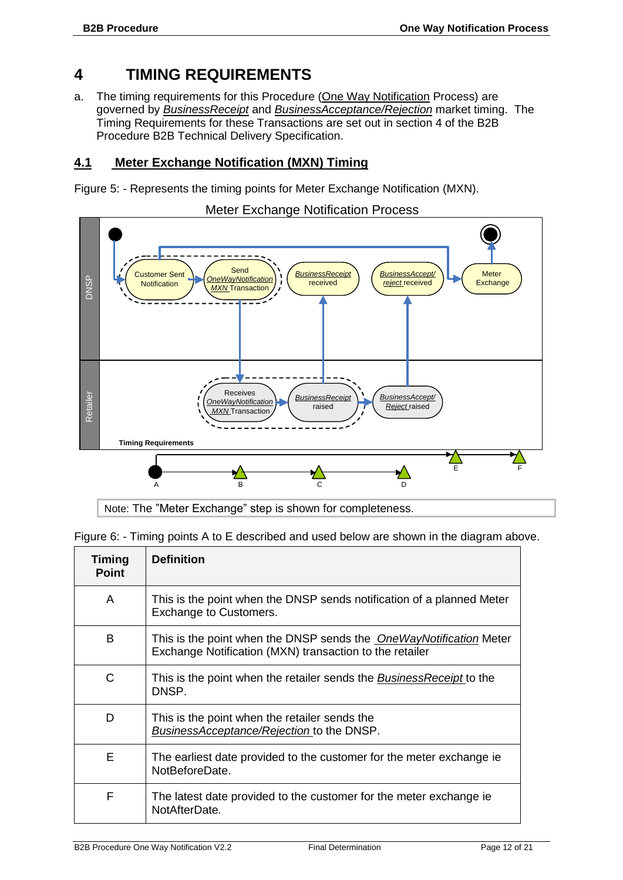#### <span id="page-12-0"></span>**4 TIMING REQUIREMENTS**

a. The timing requirements for this Procedure (One Way Notification Process) are governed by *BusinessReceipt* and *BusinessAcceptance/Rejection* market timing. The Timing Requirements for these Transactions are set out in section 4 of the B2B Procedure B2B Technical Delivery Specification.

#### <span id="page-12-1"></span>**4.1 Meter Exchange Notification (MXN) Timing**

Figure 5: - Represents the timing points for Meter Exchange Notification (MXN).



Note: The "Meter Exchange" step is shown for completeness.

Figure 6: - Timing points A to E described and used below are shown in the diagram above.

| <b>Timing</b><br><b>Point</b> | <b>Definition</b>                                                                                                             |
|-------------------------------|-------------------------------------------------------------------------------------------------------------------------------|
| A                             | This is the point when the DNSP sends notification of a planned Meter<br>Exchange to Customers.                               |
| B                             | This is the point when the DNSP sends the OneWayNotification Meter<br>Exchange Notification (MXN) transaction to the retailer |
| C                             | This is the point when the retailer sends the <i>BusinessReceipt</i> to the<br>DNSP.                                          |
| D                             | This is the point when the retailer sends the<br>BusinessAcceptance/Rejection to the DNSP.                                    |
| F                             | The earliest date provided to the customer for the meter exchange ie<br>NotBeforeDate.                                        |
| F                             | The latest date provided to the customer for the meter exchange ie<br>NotAfterDate.                                           |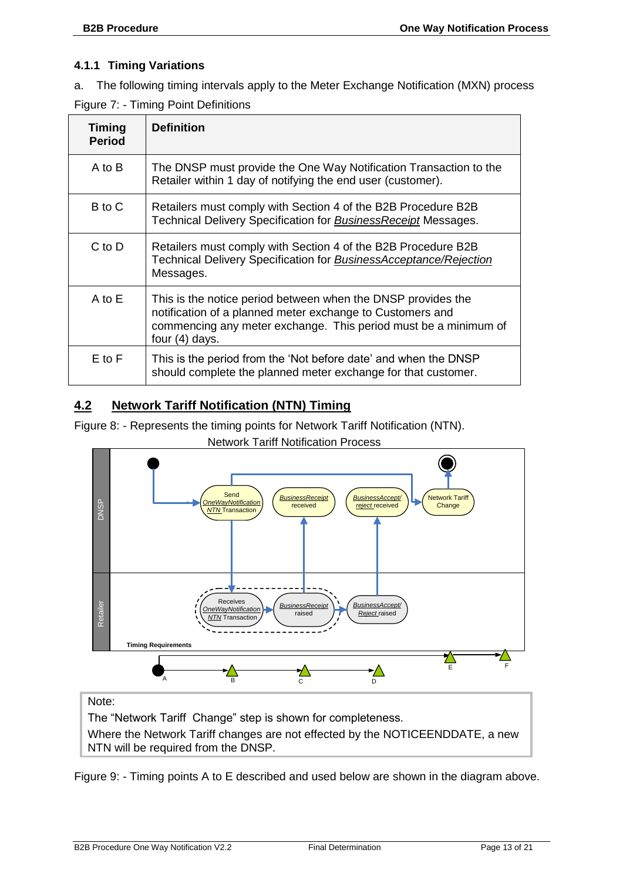#### **4.1.1 Timing Variations**

a. The following timing intervals apply to the Meter Exchange Notification (MXN) process

|  |  |  | Figure 7: - Timing Point Definitions |
|--|--|--|--------------------------------------|
|--|--|--|--------------------------------------|

| <b>Timing</b><br><b>Period</b> | <b>Definition</b>                                                                                                                                                                                                |
|--------------------------------|------------------------------------------------------------------------------------------------------------------------------------------------------------------------------------------------------------------|
| A to B                         | The DNSP must provide the One Way Notification Transaction to the<br>Retailer within 1 day of notifying the end user (customer).                                                                                 |
| B to C                         | Retailers must comply with Section 4 of the B2B Procedure B2B<br>Technical Delivery Specification for <b>Business Receipt</b> Messages.                                                                          |
| C to D                         | Retailers must comply with Section 4 of the B2B Procedure B2B<br>Technical Delivery Specification for <b>BusinessAcceptance/Rejection</b><br>Messages.                                                           |
| $A$ to $E$                     | This is the notice period between when the DNSP provides the<br>notification of a planned meter exchange to Customers and<br>commencing any meter exchange. This period must be a minimum of<br>four $(4)$ days. |
| $E$ to $F$                     | This is the period from the 'Not before date' and when the DNSP<br>should complete the planned meter exchange for that customer.                                                                                 |

#### <span id="page-13-0"></span>**4.2 Network Tariff Notification (NTN) Timing**

Figure 8: - Represents the timing points for Network Tariff Notification (NTN).



Network Tariff Notification Process

Note:

The "Network Tariff Change" step is shown for completeness.

Where the Network Tariff changes are not effected by the NOTICEENDDATE, a new NTN will be required from the DNSP.

Figure 9: - Timing points A to E described and used below are shown in the diagram above.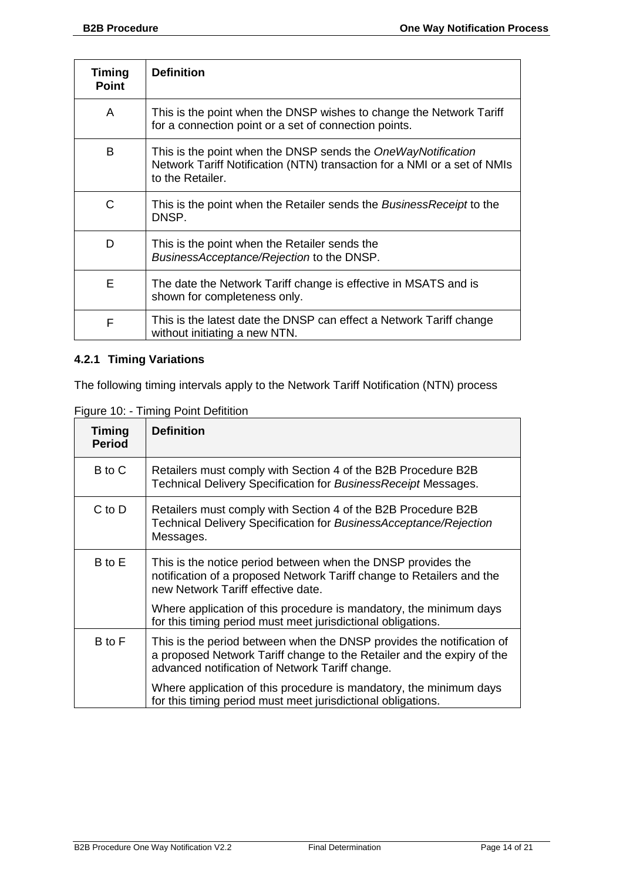| <b>Timing</b><br><b>Point</b> | <b>Definition</b>                                                                                                                                            |
|-------------------------------|--------------------------------------------------------------------------------------------------------------------------------------------------------------|
| A                             | This is the point when the DNSP wishes to change the Network Tariff<br>for a connection point or a set of connection points.                                 |
| B                             | This is the point when the DNSP sends the OneWayNotification<br>Network Tariff Notification (NTN) transaction for a NMI or a set of NMIs<br>to the Retailer. |
| C                             | This is the point when the Retailer sends the BusinessReceipt to the<br>DNSP.                                                                                |
| D                             | This is the point when the Retailer sends the<br>BusinessAcceptance/Rejection to the DNSP.                                                                   |
| Е                             | The date the Network Tariff change is effective in MSATS and is<br>shown for completeness only.                                                              |
| F                             | This is the latest date the DNSP can effect a Network Tariff change<br>without initiating a new NTN.                                                         |

#### **4.2.1 Timing Variations**

The following timing intervals apply to the Network Tariff Notification (NTN) process

Figure 10: - Timing Point Defitition

| <b>Timing</b><br><b>Period</b> | <b>Definition</b>                                                                                                                                                                                  |
|--------------------------------|----------------------------------------------------------------------------------------------------------------------------------------------------------------------------------------------------|
| B to C                         | Retailers must comply with Section 4 of the B2B Procedure B2B<br>Technical Delivery Specification for BusinessReceipt Messages.                                                                    |
| $C$ to $D$                     | Retailers must comply with Section 4 of the B2B Procedure B2B<br>Technical Delivery Specification for BusinessAcceptance/Rejection<br>Messages.                                                    |
| B to E                         | This is the notice period between when the DNSP provides the<br>notification of a proposed Network Tariff change to Retailers and the<br>new Network Tariff effective date.                        |
|                                | Where application of this procedure is mandatory, the minimum days<br>for this timing period must meet jurisdictional obligations.                                                                 |
| B to F                         | This is the period between when the DNSP provides the notification of<br>a proposed Network Tariff change to the Retailer and the expiry of the<br>advanced notification of Network Tariff change. |
|                                | Where application of this procedure is mandatory, the minimum days<br>for this timing period must meet jurisdictional obligations.                                                                 |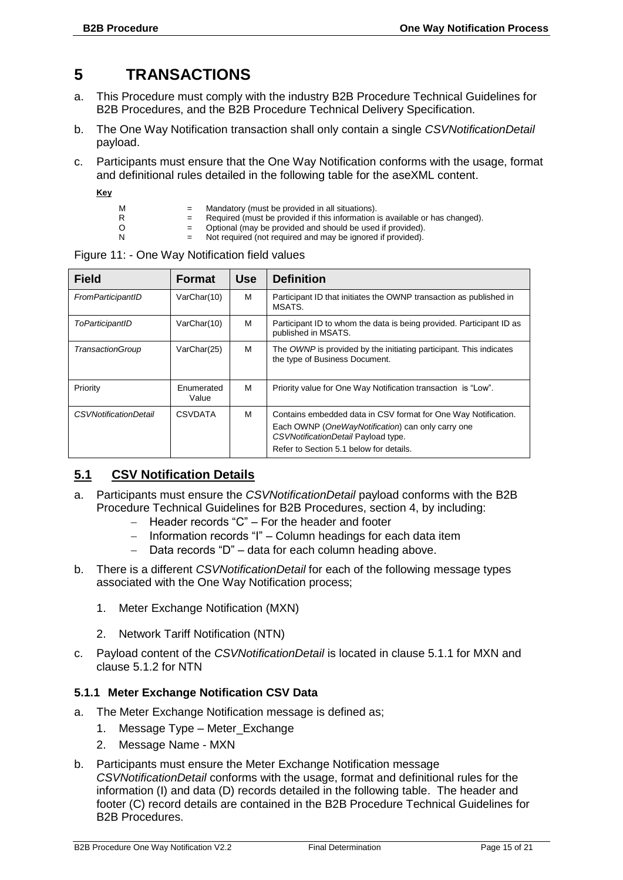### <span id="page-15-0"></span>**5 TRANSACTIONS**

- a. This Procedure must comply with the industry B2B Procedure Technical Guidelines for B2B Procedures, and the B2B Procedure Technical Delivery Specification.
- b. The One Way Notification transaction shall only contain a single *CSVNotificationDetail* payload.
- c. Participants must ensure that the One Way Notification conforms with the usage, format and definitional rules detailed in the following table for the aseXML content.
	- **Key**
- 
- $M =$  Mandatory (must be provided in all situations).<br>R  $=$  Required (must be provided if this information) R = Required (must be provided if this information is available or has changed).<br>O = Optional (may be provided and should be used if provided).
- O = Optional (may be provided and should be used if provided).<br>N = Not required (not required and may be ignored if provided).
	- Not required (not required and may be ignored if provided).

| <b>Field</b>                 | <b>Format</b>       | <b>Use</b> | <b>Definition</b>                                                                                                                                                                                     |
|------------------------------|---------------------|------------|-------------------------------------------------------------------------------------------------------------------------------------------------------------------------------------------------------|
| FromParticipantID            | VarChar(10)         | м          | Participant ID that initiates the OWNP transaction as published in<br>MSATS.                                                                                                                          |
| ToParticipantID              | VarChar(10)         | м          | Participant ID to whom the data is being provided. Participant ID as<br>published in MSATS.                                                                                                           |
| TransactionGroup             | VarChar(25)         | м          | The OWNP is provided by the initiating participant. This indicates<br>the type of Business Document.                                                                                                  |
| Priority                     | Enumerated<br>Value | м          | Priority value for One Way Notification transaction is "Low".                                                                                                                                         |
| <b>CSVNotificationDetail</b> | <b>CSVDATA</b>      | M          | Contains embedded data in CSV format for One Way Notification.<br>Each OWNP (OneWayNotification) can only carry one<br>CSVNotificationDetail Payload type.<br>Refer to Section 5.1 below for details. |

Figure 11: - One Way Notification field values

#### <span id="page-15-1"></span>**5.1 CSV Notification Details**

- a. Participants must ensure the *CSVNotificationDetail* payload conforms with the B2B Procedure Technical Guidelines for B2B Procedures, section 4, by including:
	- Header records "C" For the header and footer
	- Information records "I" Column headings for each data item
	- Data records "D" data for each column heading above.
- b. There is a different *CSVNotificationDetail* for each of the following message types associated with the One Way Notification process;
	- 1. Meter Exchange Notification (MXN)
	- 2. Network Tariff Notification (NTN)
- c. Payload content of the *CSVNotificationDetail* is located in clause 5.1.1 for MXN and clause 5.1.2 for NTN

#### **5.1.1 Meter Exchange Notification CSV Data**

- a. The Meter Exchange Notification message is defined as;
	- 1. Message Type Meter\_Exchange
	- 2. Message Name MXN
- b. Participants must ensure the Meter Exchange Notification message *CSVNotificationDetail* conforms with the usage, format and definitional rules for the information (I) and data (D) records detailed in the following table. The header and footer (C) record details are contained in the B2B Procedure Technical Guidelines for B2B Procedures.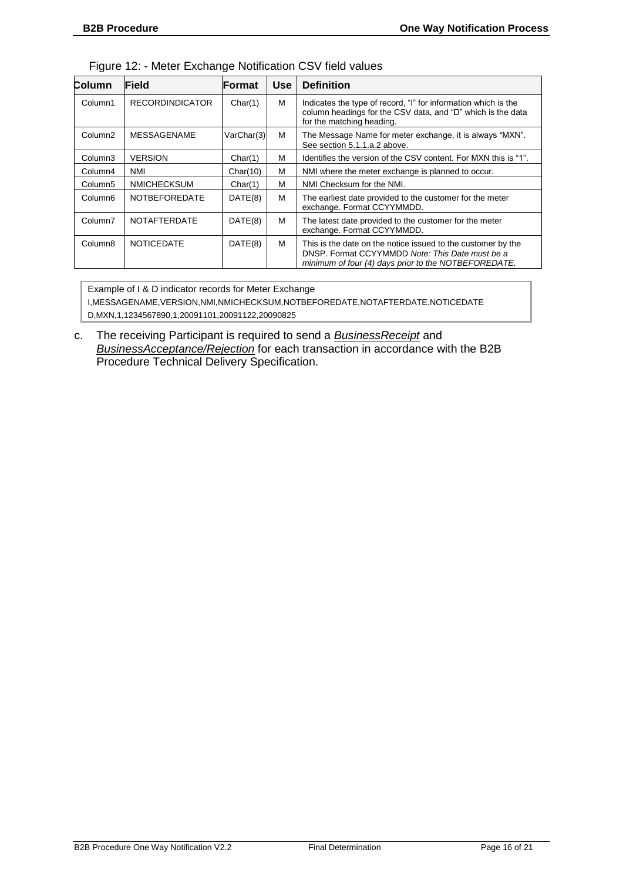| Column              | Field                  | <b>Format</b> | <b>Use</b> | <b>Definition</b>                                                                                                                                                       |
|---------------------|------------------------|---------------|------------|-------------------------------------------------------------------------------------------------------------------------------------------------------------------------|
| Column1             | <b>RECORDINDICATOR</b> | Char(1)       | М          | Indicates the type of record, "I" for information which is the<br>column headings for the CSV data, and "D" which is the data<br>for the matching heading.              |
| Column <sub>2</sub> | <b>MESSAGENAME</b>     | VarChar(3)    | M          | The Message Name for meter exchange, it is always "MXN".<br>See section 5.1.1.a.2 above.                                                                                |
| Column <sub>3</sub> | <b>VERSION</b>         | Char(1)       | М          | Identifies the version of the CSV content. For MXN this is "1".                                                                                                         |
| Column4             | <b>NMI</b>             | Char(10)      | М          | NMI where the meter exchange is planned to occur.                                                                                                                       |
| Column <sub>5</sub> | <b>NMICHECKSUM</b>     | Char(1)       | М          | NMI Checksum for the NMI.                                                                                                                                               |
| Column <sub>6</sub> | <b>NOTBEFOREDATE</b>   | DATE(8)       | M          | The earliest date provided to the customer for the meter<br>exchange. Format CCYYMMDD.                                                                                  |
| Column7             | <b>NOTAFTERDATE</b>    | DATE(8)       | M          | The latest date provided to the customer for the meter<br>exchange. Format CCYYMMDD.                                                                                    |
| Column <sub>8</sub> | <b>NOTICEDATE</b>      | DATE(8)       | М          | This is the date on the notice issued to the customer by the<br>DNSP. Format CCYYMMDD Note: This Date must be a<br>minimum of four (4) days prior to the NOTBEFOREDATE. |

Example of I & D indicator records for Meter Exchange I,MESSAGENAME,VERSION,NMI,NMICHECKSUM,NOTBEFOREDATE,NOTAFTERDATE,NOTICEDATE D,MXN,1,1234567890,1,20091101,20091122,20090825

c. The receiving Participant is required to send a *BusinessReceipt* and *BusinessAcceptance/Rejection* for each transaction in accordance with the B2B Procedure Technical Delivery Specification.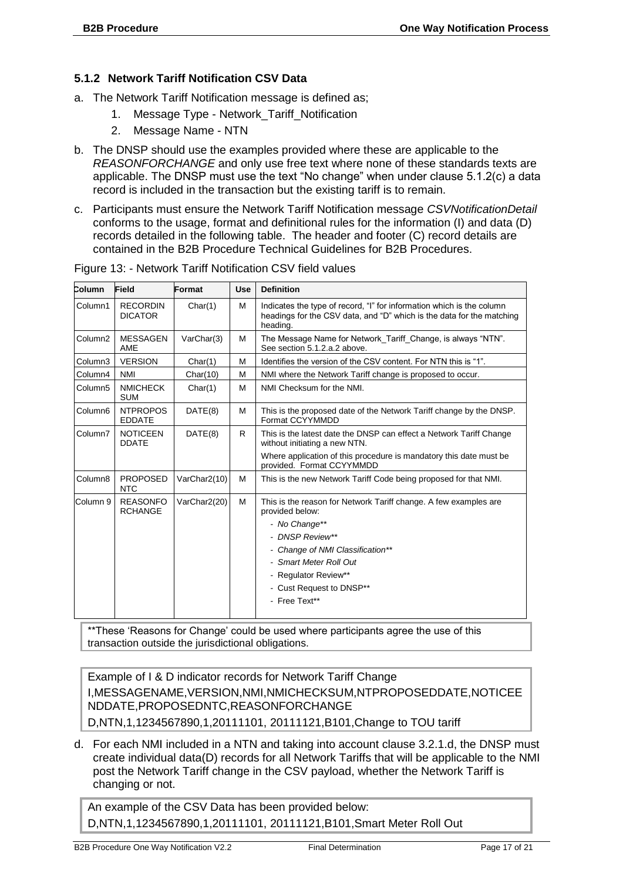#### **5.1.2 Network Tariff Notification CSV Data**

- a. The Network Tariff Notification message is defined as;
	- 1. Message Type Network\_Tariff\_Notification
	- 2. Message Name NTN
- b. The DNSP should use the examples provided where these are applicable to the *REASONFORCHANGE* and only use free text where none of these standards texts are applicable. The DNSP must use the text "No change" when under clause 5.1.2(c) a data record is included in the transaction but the existing tariff is to remain.
- c. Participants must ensure the Network Tariff Notification message *CSVNotificationDetail* conforms to the usage, format and definitional rules for the information (I) and data (D) records detailed in the following table. The header and footer (C) record details are contained in the B2B Procedure Technical Guidelines for B2B Procedures.

| Column              | Field                             | Format       | <b>Use</b> | <b>Definition</b>                                                                                                                                          |  |
|---------------------|-----------------------------------|--------------|------------|------------------------------------------------------------------------------------------------------------------------------------------------------------|--|
| Column1             | <b>RECORDIN</b><br><b>DICATOR</b> | Char(1)      | M          | Indicates the type of record, "I" for information which is the column<br>headings for the CSV data, and "D" which is the data for the matching<br>heading. |  |
| Column <sub>2</sub> | <b>MESSAGEN</b><br>AME            | VarChar(3)   | M          | The Message Name for Network_Tariff_Change, is always "NTN".<br>See section 5.1.2.a.2 above.                                                               |  |
| Column3             | <b>VERSION</b>                    | Char(1)      | M          | Identifies the version of the CSV content. For NTN this is "1".                                                                                            |  |
| Column4             | <b>NMI</b>                        | Char(10)     | M          | NMI where the Network Tariff change is proposed to occur.                                                                                                  |  |
| Column5             | <b>NMICHECK</b><br><b>SUM</b>     | Char(1)      | M          | NMI Checksum for the NMI.                                                                                                                                  |  |
| Column <sub>6</sub> | <b>NTPROPOS</b><br><b>EDDATE</b>  | DATE(8)      | M          | This is the proposed date of the Network Tariff change by the DNSP.<br>Format CCYYMMDD                                                                     |  |
| Column7             | <b>NOTICEEN</b><br><b>DDATE</b>   | DATE(8)      | R          | This is the latest date the DNSP can effect a Network Tariff Change<br>without initiating a new NTN.                                                       |  |
|                     |                                   |              |            | Where application of this procedure is mandatory this date must be<br>provided. Format CCYYMMDD                                                            |  |
| Column <sub>8</sub> | <b>PROPOSED</b><br><b>NTC</b>     | VarChar2(10) | M          | This is the new Network Tariff Code being proposed for that NMI.                                                                                           |  |
| Column 9            | <b>REASONFO</b><br><b>RCHANGE</b> | VarChar2(20) | M          | This is the reason for Network Tariff change. A few examples are<br>provided below:                                                                        |  |
|                     |                                   |              |            | - No Change**                                                                                                                                              |  |
|                     |                                   |              |            | - DNSP Review**                                                                                                                                            |  |
|                     |                                   |              |            | - Change of NMI Classification**                                                                                                                           |  |
|                     |                                   |              |            | - Smart Meter Roll Out                                                                                                                                     |  |
|                     |                                   |              |            | - Regulator Review**                                                                                                                                       |  |
|                     |                                   |              |            | - Cust Request to DNSP**                                                                                                                                   |  |
|                     |                                   |              |            | - Free Text**                                                                                                                                              |  |
|                     |                                   |              |            |                                                                                                                                                            |  |

Figure 13: - Network Tariff Notification CSV field values

\*\*These 'Reasons for Change' could be used where participants agree the use of this transaction outside the jurisdictional obligations.

Example of I & D indicator records for Network Tariff Change I,MESSAGENAME,VERSION,NMI,NMICHECKSUM,NTPROPOSEDDATE,NOTICEE NDDATE,PROPOSEDNTC,REASONFORCHANGE D,NTN,1,1234567890,1,20111101, 20111121,B101,Change to TOU tariff

d. For each NMI included in a NTN and taking into account clause 3.2.1.d, the DNSP must create individual data(D) records for all Network Tariffs that will be applicable to the NMI post the Network Tariff change in the CSV payload, whether the Network Tariff is changing or not.

An example of the CSV Data has been provided below: D,NTN,1,1234567890,1,20111101, 20111121,B101,Smart Meter Roll Out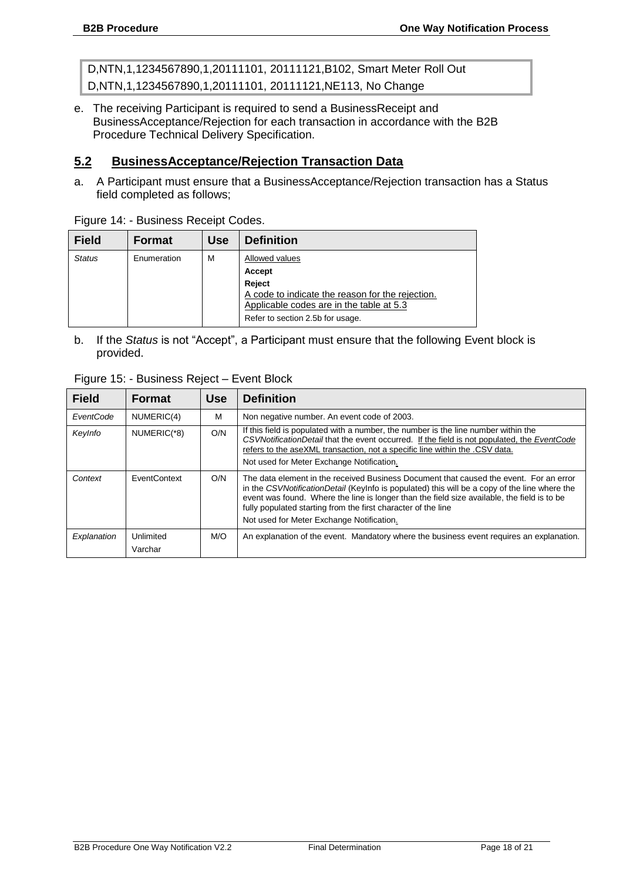D,NTN,1,1234567890,1,20111101, 20111121,B102, Smart Meter Roll Out D,NTN,1,1234567890,1,20111101, 20111121,NE113, No Change

e. The receiving Participant is required to send a BusinessReceipt and BusinessAcceptance/Rejection for each transaction in accordance with the B2B Procedure Technical Delivery Specification.

#### <span id="page-18-0"></span>**5.2 BusinessAcceptance/Rejection Transaction Data**

a. A Participant must ensure that a BusinessAcceptance/Rejection transaction has a Status field completed as follows;

| <b>Field</b>  | <b>Format</b> | <b>Use</b> | <b>Definition</b>                                |
|---------------|---------------|------------|--------------------------------------------------|
| <b>Status</b> | Enumeration   | M          | Allowed values                                   |
|               |               |            | Accept                                           |
|               |               |            | Reject                                           |
|               |               |            | A code to indicate the reason for the rejection. |
|               |               |            | Applicable codes are in the table at 5.3         |
|               |               |            | Refer to section 2.5b for usage.                 |

Figure 14: - Business Receipt Codes.

b. If the *Status* is not "Accept", a Participant must ensure that the following Event block is provided.

| Figure 15: - Business Reject - Event Block |        |  |                |  |  |  |
|--------------------------------------------|--------|--|----------------|--|--|--|
| Field                                      | Format |  | Use Definition |  |  |  |

| <b>Field</b> | <b>Format</b>        | <b>Use</b> | <b>Definition</b>                                                                                                                                                                                                                                                                                                                                                                                    |
|--------------|----------------------|------------|------------------------------------------------------------------------------------------------------------------------------------------------------------------------------------------------------------------------------------------------------------------------------------------------------------------------------------------------------------------------------------------------------|
| EventCode    | NUMERIC(4)           | М          | Non negative number. An event code of 2003.                                                                                                                                                                                                                                                                                                                                                          |
| KeyInfo      | NUMERIC(*8)          | O/N        | If this field is populated with a number, the number is the line number within the<br>CSVNotificationDetail that the event occurred. If the field is not populated, the EventCode<br>refers to the aseXML transaction, not a specific line within the .CSV data.<br>Not used for Meter Exchange Notification.                                                                                        |
| Context      | EventContext         | O/N        | The data element in the received Business Document that caused the event. For an error<br>in the CSVNotificationDetail (Keylnfo is populated) this will be a copy of the line where the<br>event was found. Where the line is longer than the field size available, the field is to be<br>fully populated starting from the first character of the line<br>Not used for Meter Exchange Notification. |
| Explanation  | Unlimited<br>Varchar | M/O        | An explanation of the event. Mandatory where the business event requires an explanation.                                                                                                                                                                                                                                                                                                             |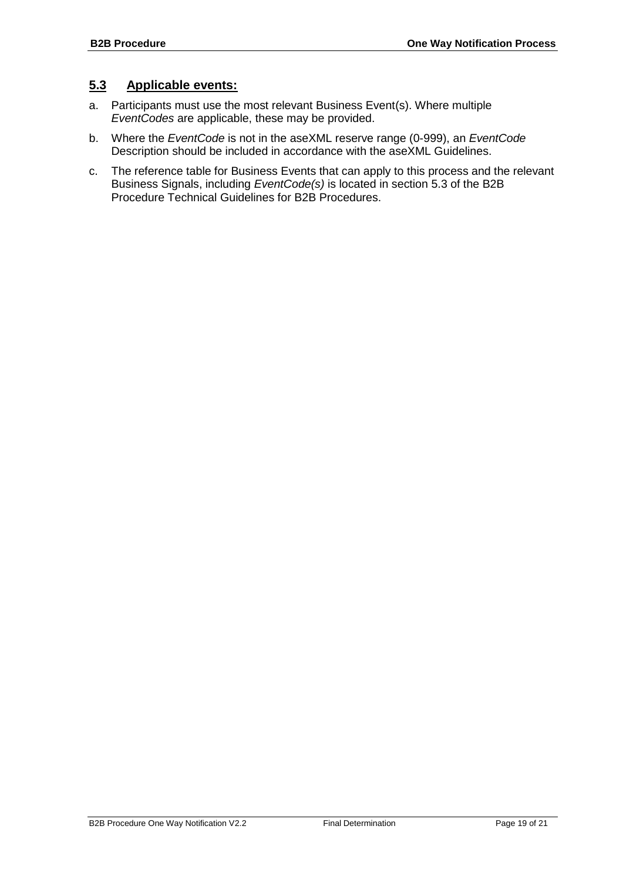#### <span id="page-19-0"></span>**5.3 Applicable events:**

- a. Participants must use the most relevant Business Event(s). Where multiple *EventCodes* are applicable, these may be provided.
- b. Where the *EventCode* is not in the aseXML reserve range (0-999), an *EventCode* Description should be included in accordance with the aseXML Guidelines.
- c. The reference table for Business Events that can apply to this process and the relevant Business Signals, including *EventCode(s)* is located in section 5.3 of the B2B Procedure Technical Guidelines for B2B Procedures.